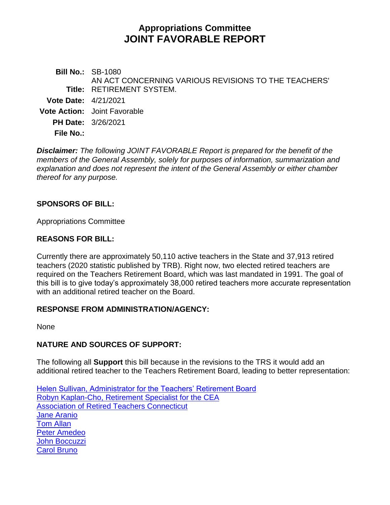# **Appropriations Committee JOINT FAVORABLE REPORT**

**Bill No.:** SB-1080 **Title:** RETIREMENT SYSTEM. AN ACT CONCERNING VARIOUS REVISIONS TO THE TEACHERS' **Vote Date:** 4/21/2021 **Vote Action:** Joint Favorable **PH Date:** 3/26/2021 **File No.:**

*Disclaimer: The following JOINT FAVORABLE Report is prepared for the benefit of the members of the General Assembly, solely for purposes of information, summarization and explanation and does not represent the intent of the General Assembly or either chamber thereof for any purpose.*

### **SPONSORS OF BILL:**

Appropriations Committee

#### **REASONS FOR BILL:**

Currently there are approximately 50,110 active teachers in the State and 37,913 retired teachers (2020 statistic published by TRB). Right now, two elected retired teachers are required on the Teachers Retirement Board, which was last mandated in 1991. The goal of this bill is to give today's approximately 38,000 retired teachers more accurate representation with an additional retired teacher on the Board.

#### **RESPONSE FROM ADMINISTRATION/AGENCY:**

None

## **NATURE AND SOURCES OF SUPPORT:**

The following all **Support** this bill because in the revisions to the TRS it would add an additional retired teacher to the Teachers Retirement Board, leading to better representation:

[Helen Sullivan, Administrator for the Teachers' Retirement Board](http://cgalites/2021/APPdata/Tmy/2021SB-01080-R000326-Sullivan,%20Helen,%20Administrator-Teacher%20Retirement%20Board-TMY.PDF) [Robyn Kaplan-Cho, Retirement Specialist for the CEA](http://cgalites/2021/APPdata/Tmy/2021SB-01080-R000326-Kaplan-Cho,%20Robyn,%20Retirement%20Specialist-CT%20Education%20Assoc.-TMY.PDF) [Association of Retired Teachers Connecticut](http://cgalites/2021/APPdata/Tmy/2021SB-01080-R000326-Association%20of%20Retired%20Teachers%20of%20CT-TMY.PDF) [Jane Aranio](http://cgalites/2021/APPdata/Tmy/2021SB-01080-R000326-Aarnio,%20Jane-TMY.PDF) [Tom Allan](http://cgalites/2021/APPdata/Tmy/2021SB-01080-R000326-Allan,%20Tom-TMY.PDF) [Peter Amedeo](http://cgalites/2021/APPdata/Tmy/2021SB-01080-R000326-Amedeo,%20Peter-TMY.PDF) [John Boccuzzi](http://cgalites/2021/APPdata/Tmy/2021SB-01080-R000326-Boccuzzi,%20John-TMY.PDF) [Carol Bruno](http://cgalites/2021/APPdata/Tmy/2021SB-01080-R000326-Bruno,%20Carol-TMY.PDF)